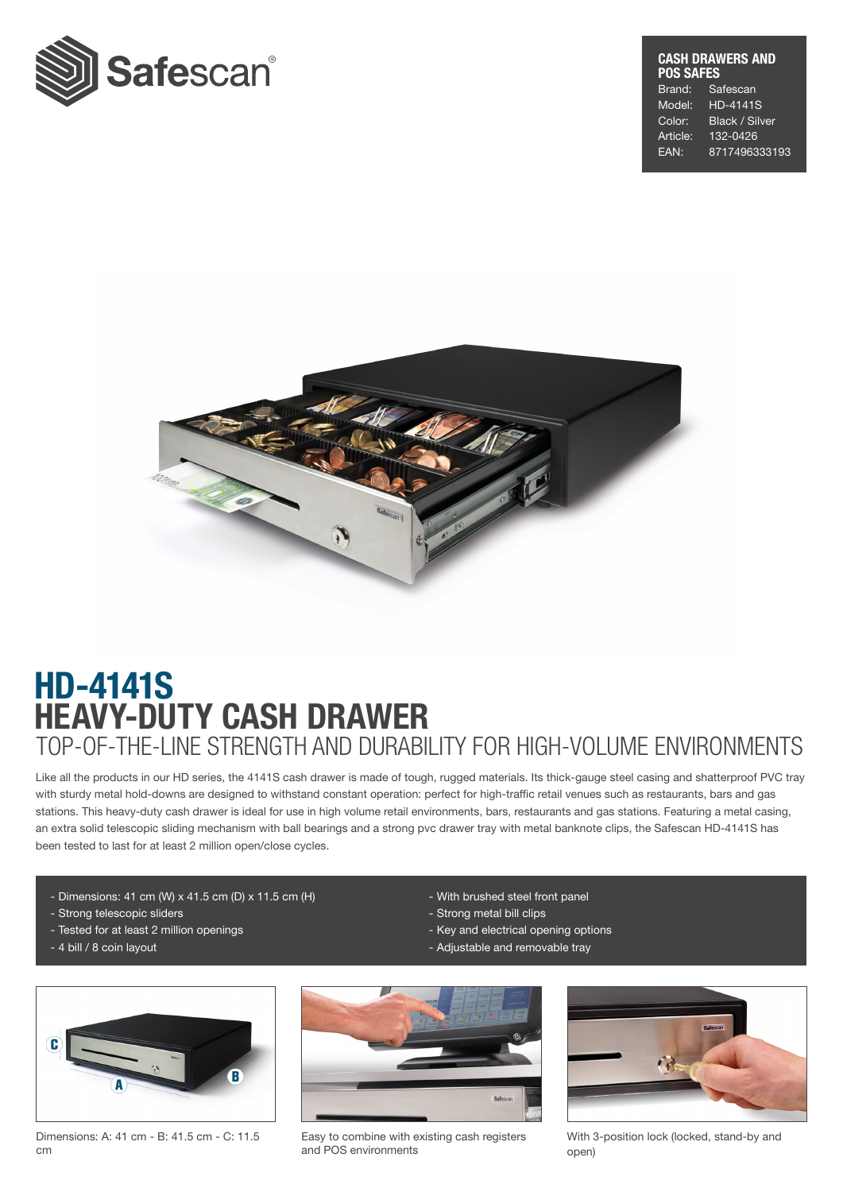

### CASH DRAWERS AND POS SAFES Brand: Safescan Model: HD-4141S

Color: Black / Silver Article: 132-0426 EAN: 8717496333193



# HEAVY-DUTY CASH DRAWER HD-4141S TOP-OF-THE-LINE STRENGTH AND DURABILITY FOR HIGH-VOLUME ENVIRONMENTS

Like all the products in our HD series, the 4141S cash drawer is made of tough, rugged materials. Its thick-gauge steel casing and shatterproof PVC tray with sturdy metal hold-downs are designed to withstand constant operation: perfect for high-traffic retail venues such as restaurants, bars and gas stations. This heavy-duty cash drawer is ideal for use in high volume retail environments, bars, restaurants and gas stations. Featuring a metal casing, an extra solid telescopic sliding mechanism with ball bearings and a strong pvc drawer tray with metal banknote clips, the Safescan HD-4141S has been tested to last for at least 2 million open/close cycles.

- Dimensions: 41 cm (W) x 41.5 cm (D) x 11.5 cm (H)
- Strong telescopic sliders
- Tested for at least 2 million openings
- 4 bill / 8 coin layout
- With brushed steel front panel
- Strong metal bill clips
- Key and electrical opening options
- Adjustable and removable tray



Dimensions: A: 41 cm - B: 41.5 cm - C: 11.5 cm



Easy to combine with existing cash registers and POS environments



With 3-position lock (locked, stand-by and open)